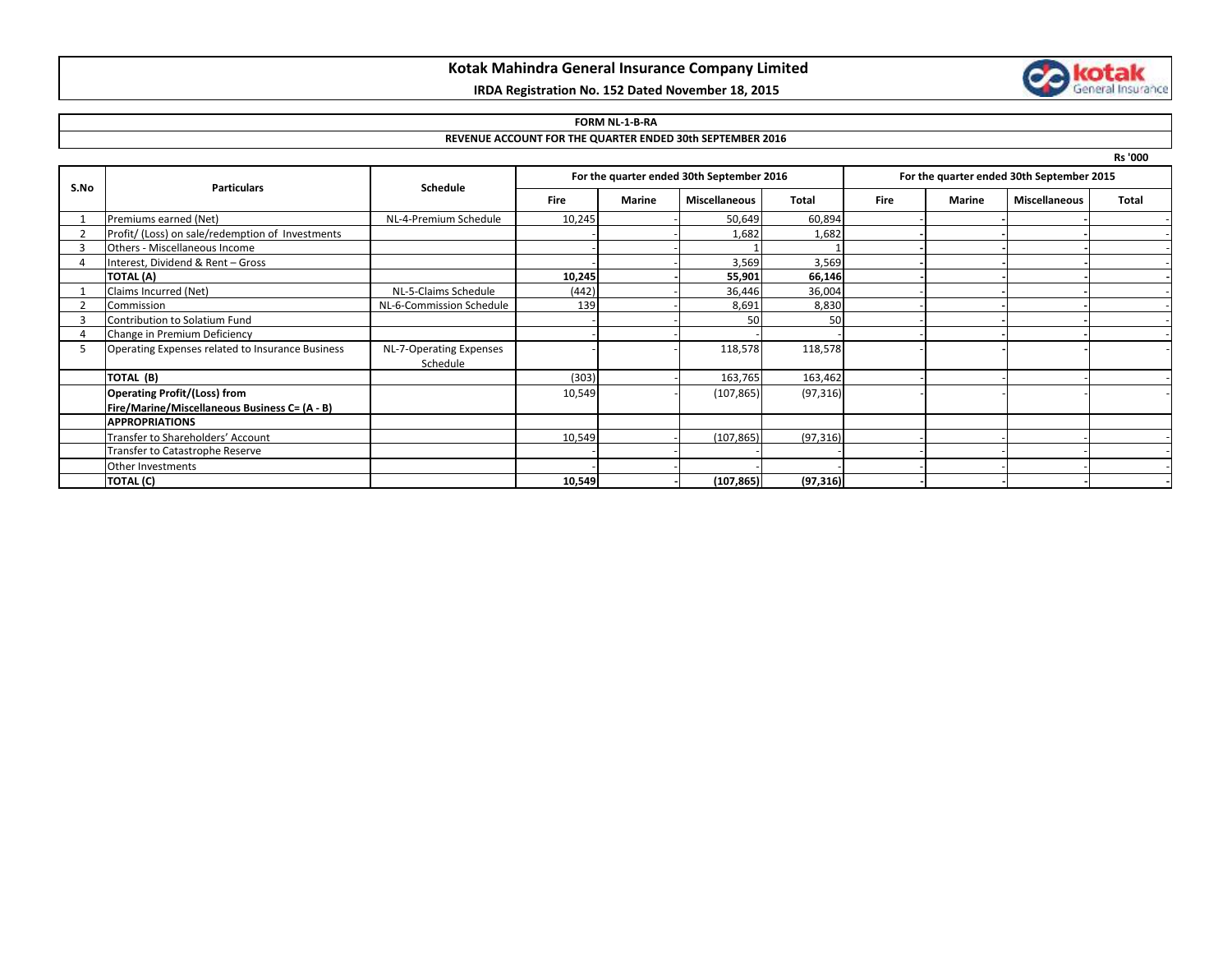## **Kotak Mahindra General Insurance Company Limited**

### **IRDA Registration No. 152 Dated November 18, 2015**



### **FORM NL-1-B-RA**

### **REVENUE ACCOUNT FOR THE QUARTER ENDED 30th SEPTEMBER 2016**

**Rs '000**

| S.No | <b>Particulars</b>                               | Schedule                 | For the quarter ended 30th September 2016 |        |                      |              | For the quarter ended 30th September 2015 |               |                      |              |
|------|--------------------------------------------------|--------------------------|-------------------------------------------|--------|----------------------|--------------|-------------------------------------------|---------------|----------------------|--------------|
|      |                                                  |                          | <b>Fire</b>                               | Marine | <b>Miscellaneous</b> | <b>Total</b> | <b>Fire</b>                               | <b>Marine</b> | <b>Miscellaneous</b> | <b>Total</b> |
|      | Premiums earned (Net)                            | NL-4-Premium Schedule    | 10,245                                    |        | 50,649               | 60,894       |                                           |               |                      |              |
|      | Profit/ (Loss) on sale/redemption of Investments |                          |                                           |        | 1,682                | 1,682        |                                           |               |                      |              |
|      | Others - Miscellaneous Income                    |                          |                                           |        |                      |              |                                           |               |                      |              |
|      | Interest, Dividend & Rent - Gross                |                          |                                           |        | 3,569                | 3,569        |                                           |               |                      |              |
|      | <b>TOTAL (A)</b>                                 |                          | 10,245                                    |        | 55,901               | 66,146       |                                           |               |                      |              |
|      | Claims Incurred (Net)                            | NL-5-Claims Schedule     | (442)                                     |        | 36,446               | 36,004       |                                           |               |                      |              |
|      | Commission                                       | NL-6-Commission Schedule | 139                                       |        | 8,691                | 8,830        |                                           |               |                      |              |
|      | Contribution to Solatium Fund                    |                          |                                           |        | 50                   | 50           |                                           |               |                      |              |
|      | Change in Premium Deficiency                     |                          |                                           |        |                      |              |                                           |               |                      |              |
| -5   | Operating Expenses related to Insurance Business | NL-7-Operating Expenses  |                                           |        | 118,578              | 118,578      |                                           |               |                      |              |
|      |                                                  | Schedule                 |                                           |        |                      |              |                                           |               |                      |              |
|      | TOTAL (B)                                        |                          | (303)                                     |        | 163,765              | 163,462      |                                           |               |                      |              |
|      | <b>Operating Profit/(Loss) from</b>              |                          | 10,549                                    |        | (107, 865)           | (97, 316)    |                                           |               |                      |              |
|      | Fire/Marine/Miscellaneous Business C= (A - B)    |                          |                                           |        |                      |              |                                           |               |                      |              |
|      | <b>APPROPRIATIONS</b>                            |                          |                                           |        |                      |              |                                           |               |                      |              |
|      | Transfer to Shareholders' Account                |                          | 10,549                                    |        | (107, 865)           | (97, 316)    |                                           |               |                      |              |
|      | Transfer to Catastrophe Reserve                  |                          |                                           |        |                      |              |                                           |               |                      |              |
|      | Other Investments                                |                          |                                           |        |                      |              |                                           |               |                      |              |
|      | TOTAL (C)                                        |                          | 10,549                                    |        | (107, 865)           | (97, 316)    |                                           |               |                      |              |